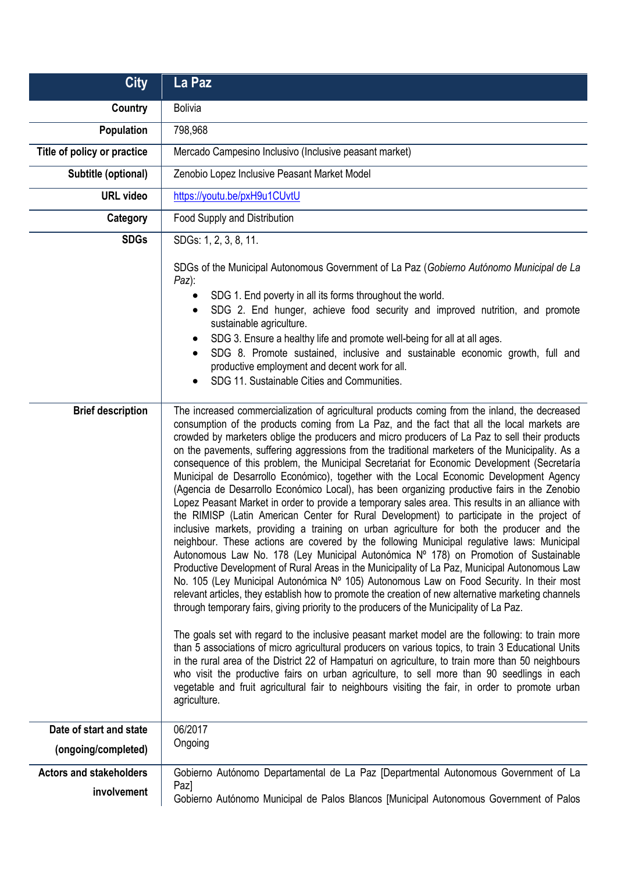| <b>City</b>                             | La Paz                                                                                                                                                                                                                                                                                                                                                                                                                                                                                                                                                                                                                                                                                                                                                                                                                                                                                                                                                                                                                                                                                                                                                                                                                                                                                                                                                                                                                                                                                                                                                                                                                                                                                                                                                                                          |
|-----------------------------------------|-------------------------------------------------------------------------------------------------------------------------------------------------------------------------------------------------------------------------------------------------------------------------------------------------------------------------------------------------------------------------------------------------------------------------------------------------------------------------------------------------------------------------------------------------------------------------------------------------------------------------------------------------------------------------------------------------------------------------------------------------------------------------------------------------------------------------------------------------------------------------------------------------------------------------------------------------------------------------------------------------------------------------------------------------------------------------------------------------------------------------------------------------------------------------------------------------------------------------------------------------------------------------------------------------------------------------------------------------------------------------------------------------------------------------------------------------------------------------------------------------------------------------------------------------------------------------------------------------------------------------------------------------------------------------------------------------------------------------------------------------------------------------------------------------|
| <b>Country</b>                          | <b>Bolivia</b>                                                                                                                                                                                                                                                                                                                                                                                                                                                                                                                                                                                                                                                                                                                                                                                                                                                                                                                                                                                                                                                                                                                                                                                                                                                                                                                                                                                                                                                                                                                                                                                                                                                                                                                                                                                  |
| <b>Population</b>                       | 798,968                                                                                                                                                                                                                                                                                                                                                                                                                                                                                                                                                                                                                                                                                                                                                                                                                                                                                                                                                                                                                                                                                                                                                                                                                                                                                                                                                                                                                                                                                                                                                                                                                                                                                                                                                                                         |
| Title of policy or practice             | Mercado Campesino Inclusivo (Inclusive peasant market)                                                                                                                                                                                                                                                                                                                                                                                                                                                                                                                                                                                                                                                                                                                                                                                                                                                                                                                                                                                                                                                                                                                                                                                                                                                                                                                                                                                                                                                                                                                                                                                                                                                                                                                                          |
| Subtitle (optional)                     | Zenobio Lopez Inclusive Peasant Market Model                                                                                                                                                                                                                                                                                                                                                                                                                                                                                                                                                                                                                                                                                                                                                                                                                                                                                                                                                                                                                                                                                                                                                                                                                                                                                                                                                                                                                                                                                                                                                                                                                                                                                                                                                    |
| <b>URL video</b>                        | https://youtu.be/pxH9u1CUvtU                                                                                                                                                                                                                                                                                                                                                                                                                                                                                                                                                                                                                                                                                                                                                                                                                                                                                                                                                                                                                                                                                                                                                                                                                                                                                                                                                                                                                                                                                                                                                                                                                                                                                                                                                                    |
| Category                                | Food Supply and Distribution                                                                                                                                                                                                                                                                                                                                                                                                                                                                                                                                                                                                                                                                                                                                                                                                                                                                                                                                                                                                                                                                                                                                                                                                                                                                                                                                                                                                                                                                                                                                                                                                                                                                                                                                                                    |
| <b>SDGs</b><br><b>Brief description</b> | SDGs: 1, 2, 3, 8, 11.<br>SDGs of the Municipal Autonomous Government of La Paz (Gobierno Autónomo Municipal de La<br>Paz):<br>SDG 1. End poverty in all its forms throughout the world.<br>SDG 2. End hunger, achieve food security and improved nutrition, and promote<br>$\bullet$<br>sustainable agriculture.<br>SDG 3. Ensure a healthy life and promote well-being for all at all ages.<br>SDG 8. Promote sustained, inclusive and sustainable economic growth, full and<br>$\bullet$<br>productive employment and decent work for all.<br>SDG 11. Sustainable Cities and Communities.<br>$\bullet$<br>The increased commercialization of agricultural products coming from the inland, the decreased<br>consumption of the products coming from La Paz, and the fact that all the local markets are<br>crowded by marketers oblige the producers and micro producers of La Paz to sell their products<br>on the pavements, suffering aggressions from the traditional marketers of the Municipality. As a<br>consequence of this problem, the Municipal Secretariat for Economic Development (Secretaría<br>Municipal de Desarrollo Económico), together with the Local Economic Development Agency<br>(Agencia de Desarrollo Económico Local), has been organizing productive fairs in the Zenobio<br>Lopez Peasant Market in order to provide a temporary sales area. This results in an alliance with<br>the RIMISP (Latin American Center for Rural Development) to participate in the project of<br>inclusive markets, providing a training on urban agriculture for both the producer and the<br>neighbour. These actions are covered by the following Municipal regulative laws: Municipal<br>Autonomous Law No. 178 (Ley Municipal Autonómica Nº 178) on Promotion of Sustainable |
|                                         | Productive Development of Rural Areas in the Municipality of La Paz, Municipal Autonomous Law<br>No. 105 (Ley Municipal Autonómica Nº 105) Autonomous Law on Food Security. In their most<br>relevant articles, they establish how to promote the creation of new alternative marketing channels<br>through temporary fairs, giving priority to the producers of the Municipality of La Paz.<br>The goals set with regard to the inclusive peasant market model are the following: to train more<br>than 5 associations of micro agricultural producers on various topics, to train 3 Educational Units<br>in the rural area of the District 22 of Hampaturi on agriculture, to train more than 50 neighbours<br>who visit the productive fairs on urban agriculture, to sell more than 90 seedlings in each<br>vegetable and fruit agricultural fair to neighbours visiting the fair, in order to promote urban<br>agriculture.                                                                                                                                                                                                                                                                                                                                                                                                                                                                                                                                                                                                                                                                                                                                                                                                                                                                |
| Date of start and state                 | 06/2017<br>Ongoing                                                                                                                                                                                                                                                                                                                                                                                                                                                                                                                                                                                                                                                                                                                                                                                                                                                                                                                                                                                                                                                                                                                                                                                                                                                                                                                                                                                                                                                                                                                                                                                                                                                                                                                                                                              |
| (ongoing/completed)                     |                                                                                                                                                                                                                                                                                                                                                                                                                                                                                                                                                                                                                                                                                                                                                                                                                                                                                                                                                                                                                                                                                                                                                                                                                                                                                                                                                                                                                                                                                                                                                                                                                                                                                                                                                                                                 |
| <b>Actors and stakeholders</b>          | Gobierno Autónomo Departamental de La Paz [Departmental Autonomous Government of La<br>Paz]                                                                                                                                                                                                                                                                                                                                                                                                                                                                                                                                                                                                                                                                                                                                                                                                                                                                                                                                                                                                                                                                                                                                                                                                                                                                                                                                                                                                                                                                                                                                                                                                                                                                                                     |
| involvement                             | Gobierno Autónomo Municipal de Palos Blancos [Municipal Autonomous Government of Palos                                                                                                                                                                                                                                                                                                                                                                                                                                                                                                                                                                                                                                                                                                                                                                                                                                                                                                                                                                                                                                                                                                                                                                                                                                                                                                                                                                                                                                                                                                                                                                                                                                                                                                          |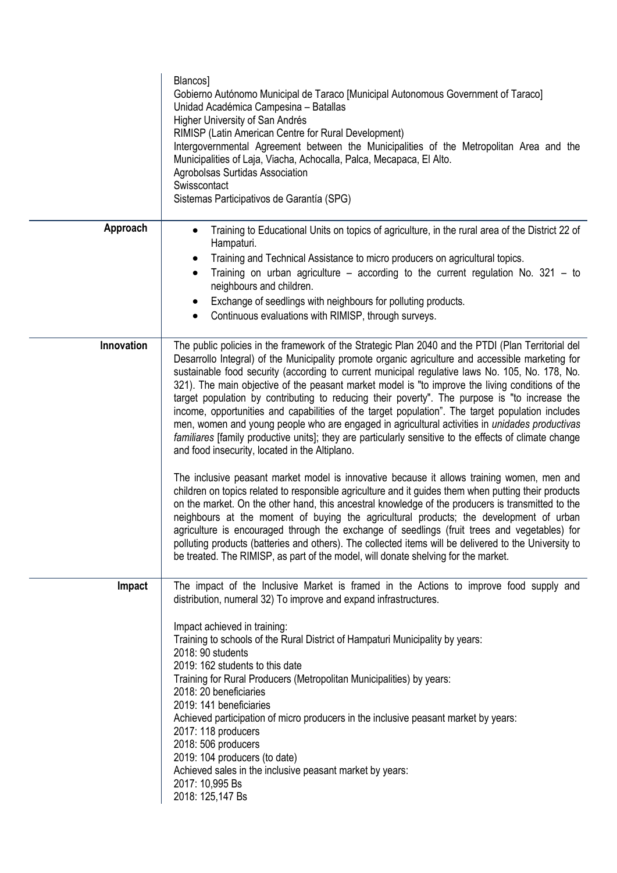|            | Blancos]<br>Gobierno Autónomo Municipal de Taraco [Municipal Autonomous Government of Taraco]<br>Unidad Académica Campesina - Batallas<br>Higher University of San Andrés<br>RIMISP (Latin American Centre for Rural Development)<br>Intergovernmental Agreement between the Municipalities of the Metropolitan Area and the<br>Municipalities of Laja, Viacha, Achocalla, Palca, Mecapaca, El Alto.<br>Agrobolsas Surtidas Association<br>Swisscontact<br>Sistemas Participativos de Garantía (SPG)                                                                                                                                                                                                                                                                                                                                                                                                                                                                                                                                                                                                                                                                                                                                                                                                                                                                                                                                                                                                                                                                                  |
|------------|---------------------------------------------------------------------------------------------------------------------------------------------------------------------------------------------------------------------------------------------------------------------------------------------------------------------------------------------------------------------------------------------------------------------------------------------------------------------------------------------------------------------------------------------------------------------------------------------------------------------------------------------------------------------------------------------------------------------------------------------------------------------------------------------------------------------------------------------------------------------------------------------------------------------------------------------------------------------------------------------------------------------------------------------------------------------------------------------------------------------------------------------------------------------------------------------------------------------------------------------------------------------------------------------------------------------------------------------------------------------------------------------------------------------------------------------------------------------------------------------------------------------------------------------------------------------------------------|
| Approach   | Training to Educational Units on topics of agriculture, in the rural area of the District 22 of<br>$\bullet$<br>Hampaturi.<br>Training and Technical Assistance to micro producers on agricultural topics.<br>Training on urban agriculture – according to the current regulation No. $321 - to$<br>$\bullet$<br>neighbours and children.<br>Exchange of seedlings with neighbours for polluting products.<br>٠<br>Continuous evaluations with RIMISP, through surveys.<br>٠                                                                                                                                                                                                                                                                                                                                                                                                                                                                                                                                                                                                                                                                                                                                                                                                                                                                                                                                                                                                                                                                                                          |
| Innovation | The public policies in the framework of the Strategic Plan 2040 and the PTDI (Plan Territorial del<br>Desarrollo Integral) of the Municipality promote organic agriculture and accessible marketing for<br>sustainable food security (according to current municipal regulative laws No. 105, No. 178, No.<br>321). The main objective of the peasant market model is "to improve the living conditions of the<br>target population by contributing to reducing their poverty". The purpose is "to increase the<br>income, opportunities and capabilities of the target population". The target population includes<br>men, women and young people who are engaged in agricultural activities in unidades productivas<br>familiares [family productive units]; they are particularly sensitive to the effects of climate change<br>and food insecurity, located in the Altiplano.<br>The inclusive peasant market model is innovative because it allows training women, men and<br>children on topics related to responsible agriculture and it guides them when putting their products<br>on the market. On the other hand, this ancestral knowledge of the producers is transmitted to the<br>neighbours at the moment of buying the agricultural products; the development of urban<br>agriculture is encouraged through the exchange of seedlings (fruit trees and vegetables) for<br>polluting products (batteries and others). The collected items will be delivered to the University to<br>be treated. The RIMISP, as part of the model, will donate shelving for the market. |
| Impact     | The impact of the Inclusive Market is framed in the Actions to improve food supply and<br>distribution, numeral 32) To improve and expand infrastructures.<br>Impact achieved in training:<br>Training to schools of the Rural District of Hampaturi Municipality by years:<br>2018: 90 students<br>2019: 162 students to this date<br>Training for Rural Producers (Metropolitan Municipalities) by years:<br>2018: 20 beneficiaries<br>2019: 141 beneficiaries<br>Achieved participation of micro producers in the inclusive peasant market by years:<br>2017: 118 producers<br>2018: 506 producers<br>2019: 104 producers (to date)<br>Achieved sales in the inclusive peasant market by years:<br>2017: 10,995 Bs<br>2018: 125,147 Bs                                                                                                                                                                                                                                                                                                                                                                                                                                                                                                                                                                                                                                                                                                                                                                                                                                             |